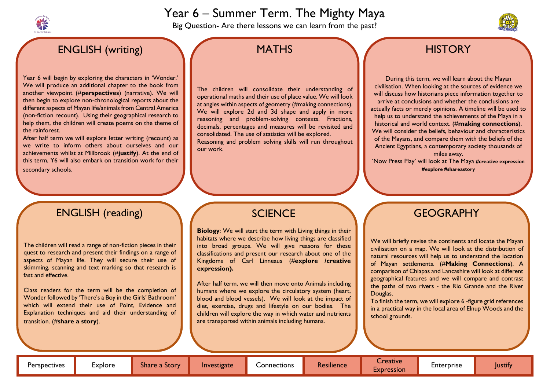# Year 6 – Summer Term. The Mighty Maya

Big Question- Are there lessons we can learn from the past?

# ENGLISH (writing)

Year 6 will begin by exploring the characters in 'Wonder.' We will produce an additional chapter to the book from another viewpoint (#**perspectives**) (narrative). We will then begin to explore non-chronological reports about the different aspects of Mayan life/animals from Central America (non-fiction recount). Using their geographical research to help them, the children will create poems on the theme of the rainforest.

After half term we will explore letter writing (recount) as we write to inform others about ourselves and our achievements whilst at Millbrook (#**justify**). At the end of this term, Y6 will also embark on transition work for their secondary schools.

The children will consolidate their understanding of operational maths and their use of place value. We will look at angles within aspects of geometry (#making connections). We will explore 2d and 3d shape and apply in more reasoning and problem-solving contexts. Fractions, decimals, percentages and measures will be revisited and consolidated. The use of statistics will be explored. Reasoning and problem solving skills will run throughout

our work.

During this term, we will learn about the Mayan civilisation. When looking at the sources of evidence we will discuss how historians piece information together to arrive at conclusions and whether the conclusions are actually facts or merely opinions. A timeline will be used to help us to understand the achievements of the Maya in a historical and world context. (#**making connections**). We will consider the beliefs, behaviour and characteristics of the Mayans, and compare them with the beliefs of the Ancient Egyptians, a contemporary society thousands of miles away.

'Now Press Play' will look at The Maya **#creative expression #explore #shareastory**

# **SCIENCE**

# ENGLISH (reading)

The children will read a range of non-fiction pieces in their quest to research and present their findings on a range of aspects of Mayan life. They will secure their use of skimming, scanning and text marking so that research is fast and effective.

Class readers for the term will be the completion of Wonder followed by 'There's a Boy in the Girls' Bathroom' which will extend their use of Point, Evidence and Explanation techniques and aid their understanding of transition. (#**share a story**).

# **MATHS**

# GEOGRAPHY

We will briefly revise the continents and locate the Mayan civilisation on a map. We will look at the distribution of natural resources will help us to understand the location of Mayan settlements. (#**Making Connections**). A comparison of Chiapas and Lancashire will look at different geographical features and we will compare and contrast the paths of two rivers - the Rio Grande and the River

Douglas.



# **HISTORY**

To finish the term, we will explore 6 -figure grid references in a practical way in the local area of Elnup Woods and the

school grounds.

**Biology**: We will start the term with Living things in their habitats where we describe how living things are classified into broad groups. We will give reasons for these classifications and present our research about one of the Kingdoms of Carl Linneaus (#**explore /creative expression).**

After half term, we will then move onto Animals including humans where we explore the circulatory system (heart, blood and blood vessels). We will look at the impact of diet, exercise, drugs and lifestyle on our bodies. The children will explore the way in which water and nutrients are transported within animals including humans.